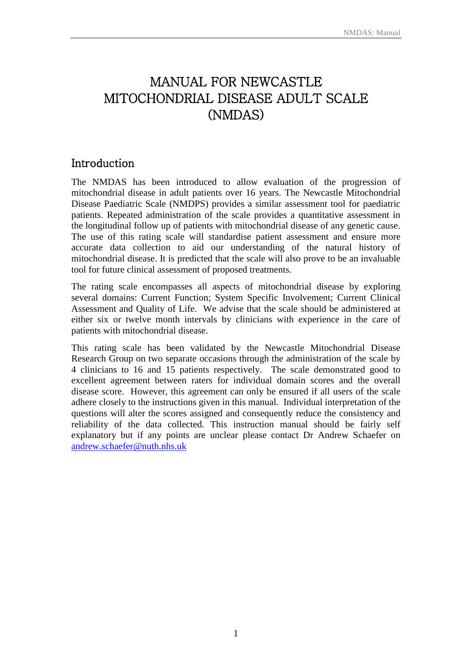# MANUAL FOR NEWCASTLE MITOCHONDRIAL DISEASE ADULT SCALE (NMDAS)

### Introduction

The NMDAS has been introduced to allow evaluation of the progression of mitochondrial disease in adult patients over 16 years. The Newcastle Mitochondrial Disease Paediatric Scale (NMDPS) provides a similar assessment tool for paediatric patients. Repeated administration of the scale provides a quantitative assessment in the longitudinal follow up of patients with mitochondrial disease of any genetic cause. The use of this rating scale will standardise patient assessment and ensure more accurate data collection to aid our understanding of the natural history of mitochondrial disease. It is predicted that the scale will also prove to be an invaluable tool for future clinical assessment of proposed treatments.

The rating scale encompasses all aspects of mitochondrial disease by exploring several domains: Current Function; System Specific Involvement; Current Clinical Assessment and Quality of Life. We advise that the scale should be administered at either six or twelve month intervals by clinicians with experience in the care of patients with mitochondrial disease.

This rating scale has been validated by the Newcastle Mitochondrial Disease Research Group on two separate occasions through the administration of the scale by 4 clinicians to 16 and 15 patients respectively. The scale demonstrated good to excellent agreement between raters for individual domain scores and the overall disease score. However, this agreement can only be ensured if all users of the scale adhere closely to the instructions given in this manual. Individual interpretation of the questions will alter the scores assigned and consequently reduce the consistency and reliability of the data collected. This instruction manual should be fairly self explanatory but if any points are unclear please contact Dr Andrew Schaefer on [andrew.schaefer@nuth.nhs.uk](mailto:andrew.schaefer@nuth.nhs.uk)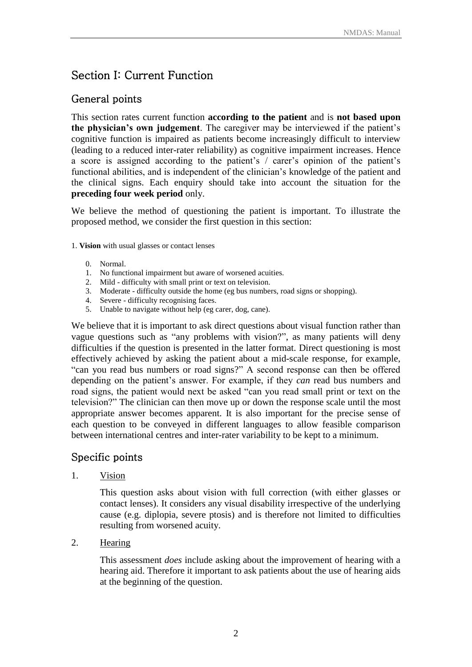# Section I: Current Function

### General points

This section rates current function **according to the patient** and is **not based upon the physician's own judgement**. The caregiver may be interviewed if the patient's cognitive function is impaired as patients become increasingly difficult to interview (leading to a reduced inter-rater reliability) as cognitive impairment increases. Hence a score is assigned according to the patient's / carer's opinion of the patient's functional abilities, and is independent of the clinician's knowledge of the patient and the clinical signs. Each enquiry should take into account the situation for the **preceding four week period** only.

We believe the method of questioning the patient is important. To illustrate the proposed method, we consider the first question in this section:

- 1. **Vision** with usual glasses or contact lenses
	- 0. Normal.
	- 1. No functional impairment but aware of worsened acuities.
	- 2. Mild difficulty with small print or text on television.
	- 3. Moderate difficulty outside the home (eg bus numbers, road signs or shopping).
	- 4. Severe difficulty recognising faces.
	- 5. Unable to navigate without help (eg carer, dog, cane).

We believe that it is important to ask direct questions about visual function rather than vague questions such as "any problems with vision?", as many patients will deny difficulties if the question is presented in the latter format. Direct questioning is most effectively achieved by asking the patient about a mid-scale response, for example, "can you read bus numbers or road signs?" A second response can then be offered depending on the patient's answer. For example, if they *can* read bus numbers and road signs, the patient would next be asked "can you read small print or text on the television?" The clinician can then move up or down the response scale until the most appropriate answer becomes apparent. It is also important for the precise sense of each question to be conveyed in different languages to allow feasible comparison between international centres and inter-rater variability to be kept to a minimum.

### Specific points

1. Vision

This question asks about vision with full correction (with either glasses or contact lenses). It considers any visual disability irrespective of the underlying cause (e.g. diplopia, severe ptosis) and is therefore not limited to difficulties resulting from worsened acuity.

2. Hearing

This assessment *does* include asking about the improvement of hearing with a hearing aid. Therefore it important to ask patients about the use of hearing aids at the beginning of the question.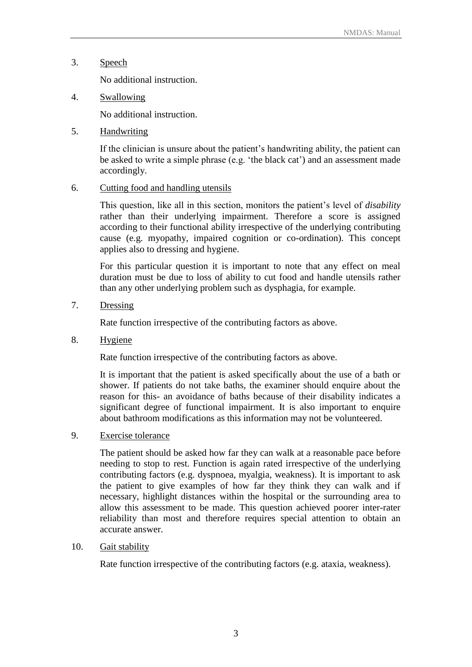3. Speech

No additional instruction.

4. Swallowing

No additional instruction.

5. Handwriting

If the clinician is unsure about the patient's handwriting ability, the patient can be asked to write a simple phrase (e.g. 'the black cat') and an assessment made accordingly.

6. Cutting food and handling utensils

This question, like all in this section, monitors the patient's level of *disability* rather than their underlying impairment. Therefore a score is assigned according to their functional ability irrespective of the underlying contributing cause (e.g. myopathy, impaired cognition or co-ordination). This concept applies also to dressing and hygiene.

For this particular question it is important to note that any effect on meal duration must be due to loss of ability to cut food and handle utensils rather than any other underlying problem such as dysphagia, for example.

7. Dressing

Rate function irrespective of the contributing factors as above.

8. Hygiene

Rate function irrespective of the contributing factors as above.

It is important that the patient is asked specifically about the use of a bath or shower. If patients do not take baths, the examiner should enquire about the reason for this- an avoidance of baths because of their disability indicates a significant degree of functional impairment. It is also important to enquire about bathroom modifications as this information may not be volunteered.

9. Exercise tolerance

The patient should be asked how far they can walk at a reasonable pace before needing to stop to rest. Function is again rated irrespective of the underlying contributing factors (e.g. dyspnoea, myalgia, weakness). It is important to ask the patient to give examples of how far they think they can walk and if necessary, highlight distances within the hospital or the surrounding area to allow this assessment to be made. This question achieved poorer inter-rater reliability than most and therefore requires special attention to obtain an accurate answer.

10. Gait stability

Rate function irrespective of the contributing factors (e.g. ataxia, weakness).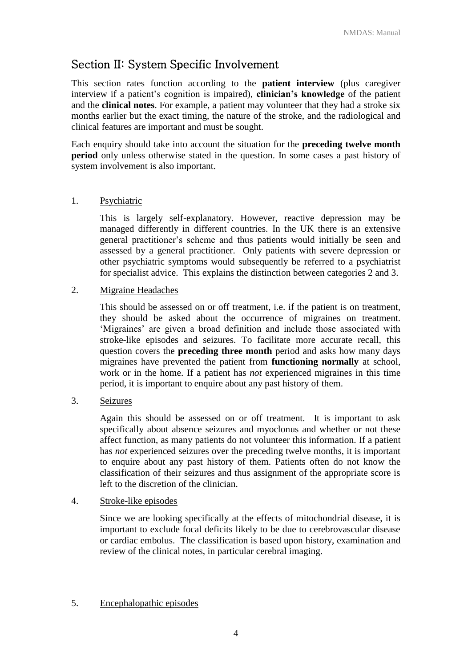# Section II: System Specific Involvement

This section rates function according to the **patient interview** (plus caregiver interview if a patient's cognition is impaired), **clinician's knowledge** of the patient and the **clinical notes**. For example, a patient may volunteer that they had a stroke six months earlier but the exact timing, the nature of the stroke, and the radiological and clinical features are important and must be sought.

Each enquiry should take into account the situation for the **preceding twelve month period** only unless otherwise stated in the question. In some cases a past history of system involvement is also important.

#### 1. Psychiatric

This is largely self-explanatory. However, reactive depression may be managed differently in different countries. In the UK there is an extensive general practitioner's scheme and thus patients would initially be seen and assessed by a general practitioner. Only patients with severe depression or other psychiatric symptoms would subsequently be referred to a psychiatrist for specialist advice. This explains the distinction between categories 2 and 3.

#### 2. Migraine Headaches

This should be assessed on or off treatment, i.e. if the patient is on treatment, they should be asked about the occurrence of migraines on treatment. 'Migraines' are given a broad definition and include those associated with stroke-like episodes and seizures. To facilitate more accurate recall, this question covers the **preceding three month** period and asks how many days migraines have prevented the patient from **functioning normally** at school, work or in the home. If a patient has *not* experienced migraines in this time period, it is important to enquire about any past history of them.

#### 3. Seizures

Again this should be assessed on or off treatment. It is important to ask specifically about absence seizures and myoclonus and whether or not these affect function, as many patients do not volunteer this information. If a patient has *not* experienced seizures over the preceding twelve months, it is important to enquire about any past history of them. Patients often do not know the classification of their seizures and thus assignment of the appropriate score is left to the discretion of the clinician.

#### 4. Stroke-like episodes

Since we are looking specifically at the effects of mitochondrial disease, it is important to exclude focal deficits likely to be due to cerebrovascular disease or cardiac embolus. The classification is based upon history, examination and review of the clinical notes, in particular cerebral imaging.

#### 5. Encephalopathic episodes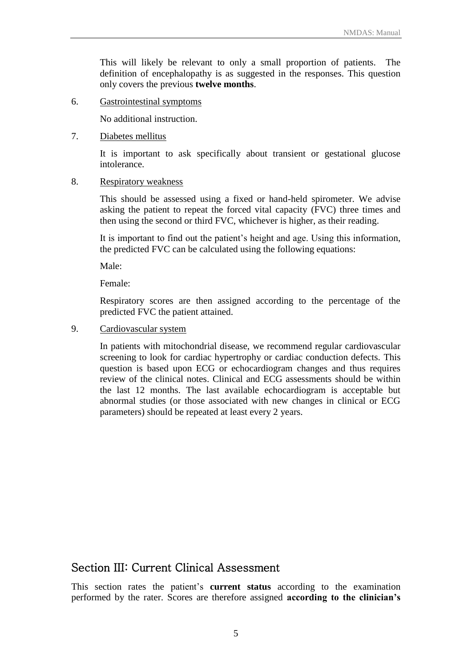This will likely be relevant to only a small proportion of patients. The definition of encephalopathy is as suggested in the responses. This question only covers the previous **twelve months**.

6. Gastrointestinal symptoms

No additional instruction.

#### 7. Diabetes mellitus

It is important to ask specifically about transient or gestational glucose intolerance.

#### 8. Respiratory weakness

This should be assessed using a fixed or hand-held spirometer. We advise asking the patient to repeat the forced vital capacity (FVC) three times and then using the second or third FVC, whichever is higher, as their reading.

It is important to find out the patient's height and age. Using this information, the predicted FVC can be calculated using the following equations:

Male:

Female:

Respiratory scores are then assigned according to the percentage of the predicted FVC the patient attained.

9. Cardiovascular system

In patients with mitochondrial disease, we recommend regular cardiovascular screening to look for cardiac hypertrophy or cardiac conduction defects. This question is based upon ECG or echocardiogram changes and thus requires review of the clinical notes. Clinical and ECG assessments should be within the last 12 months. The last available echocardiogram is acceptable but abnormal studies (or those associated with new changes in clinical or ECG parameters) should be repeated at least every 2 years.

## Section III: Current Clinical Assessment

This section rates the patient's **current status** according to the examination performed by the rater. Scores are therefore assigned **according to the clinician's**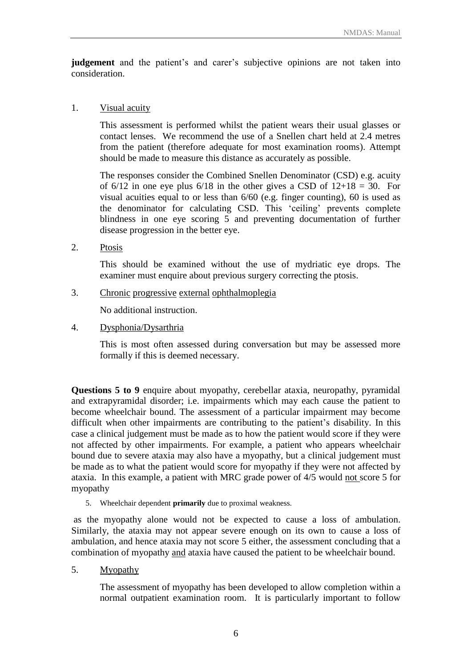**judgement** and the patient's and carer's subjective opinions are not taken into consideration.

#### 1. Visual acuity

This assessment is performed whilst the patient wears their usual glasses or contact lenses. We recommend the use of a Snellen chart held at 2.4 metres from the patient (therefore adequate for most examination rooms). Attempt should be made to measure this distance as accurately as possible.

The responses consider the Combined Snellen Denominator (CSD) e.g. acuity of  $6/12$  in one eye plus  $6/18$  in the other gives a CSD of  $12+18 = 30$ . For visual acuities equal to or less than 6/60 (e.g. finger counting), 60 is used as the denominator for calculating CSD. This 'ceiling' prevents complete blindness in one eye scoring  $\overline{5}$  and preventing documentation of further disease progression in the better eye.

2. Ptosis

This should be examined without the use of mydriatic eye drops. The examiner must enquire about previous surgery correcting the ptosis.

3. Chronic progressive external ophthalmoplegia

No additional instruction.

4. Dysphonia/Dysarthria

This is most often assessed during conversation but may be assessed more formally if this is deemed necessary.

**Questions 5 to 9** enquire about myopathy, cerebellar ataxia, neuropathy, pyramidal and extrapyramidal disorder; i.e. impairments which may each cause the patient to become wheelchair bound. The assessment of a particular impairment may become difficult when other impairments are contributing to the patient's disability. In this case a clinical judgement must be made as to how the patient would score if they were not affected by other impairments. For example, a patient who appears wheelchair bound due to severe ataxia may also have a myopathy, but a clinical judgement must be made as to what the patient would score for myopathy if they were not affected by ataxia. In this example, a patient with MRC grade power of 4/5 would not score 5 for myopathy

5. Wheelchair dependent **primarily** due to proximal weakness.

as the myopathy alone would not be expected to cause a loss of ambulation. Similarly, the ataxia may not appear severe enough on its own to cause a loss of ambulation, and hence ataxia may not score 5 either, the assessment concluding that a combination of myopathy and ataxia have caused the patient to be wheelchair bound.

5. Myopathy

The assessment of myopathy has been developed to allow completion within a normal outpatient examination room. It is particularly important to follow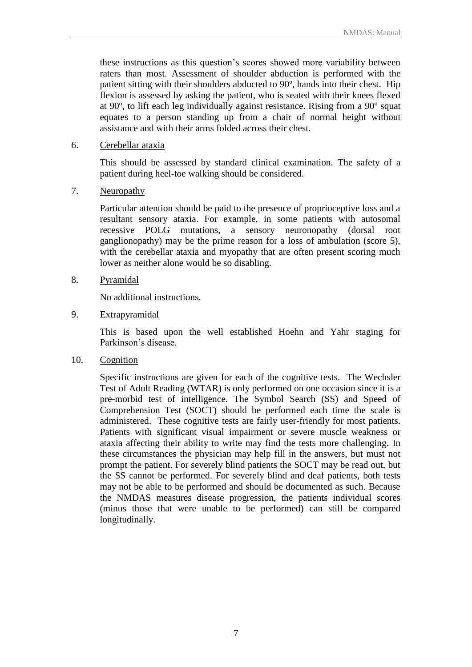these instructions as this question's scores showed more variability between raters than most. Assessment of shoulder abduction is performed with the patient sitting with their shoulders abducted to 90º, hands into their chest. Hip flexion is assessed by asking the patient, who is seated with their knees flexed at 90º, to lift each leg individually against resistance. Rising from a 90º squat equates to a person standing up from a chair of normal height without assistance and with their arms folded across their chest.

#### 6. Cerebellar ataxia

This should be assessed by standard clinical examination. The safety of a patient during heel-toe walking should be considered.

#### 7. Neuropathy

Particular attention should be paid to the presence of proprioceptive loss and a resultant sensory ataxia. For example, in some patients with autosomal recessive POLG mutations, a sensory neuronopathy (dorsal root ganglionopathy) may be the prime reason for a loss of ambulation (score 5), with the cerebellar ataxia and myopathy that are often present scoring much lower as neither alone would be so disabling.

#### 8. Pyramidal

No additional instructions.

#### 9. Extrapyramidal

This is based upon the well established Hoehn and Yahr staging for Parkinson's disease.

10. Cognition

Specific instructions are given for each of the cognitive tests. The Wechsler Test of Adult Reading (WTAR) is only performed on one occasion since it is a pre-morbid test of intelligence. The Symbol Search (SS) and Speed of Comprehension Test (SOCT) should be performed each time the scale is administered. These cognitive tests are fairly user-friendly for most patients. Patients with significant visual impairment or severe muscle weakness or ataxia affecting their ability to write may find the tests more challenging. In these circumstances the physician may help fill in the answers, but must not prompt the patient. For severely blind patients the SOCT may be read out, but the SS cannot be performed. For severely blind and deaf patients, both tests may not be able to be performed and should be documented as such. Because the NMDAS measures disease progression, the patients individual scores (minus those that were unable to be performed) can still be compared longitudinally.